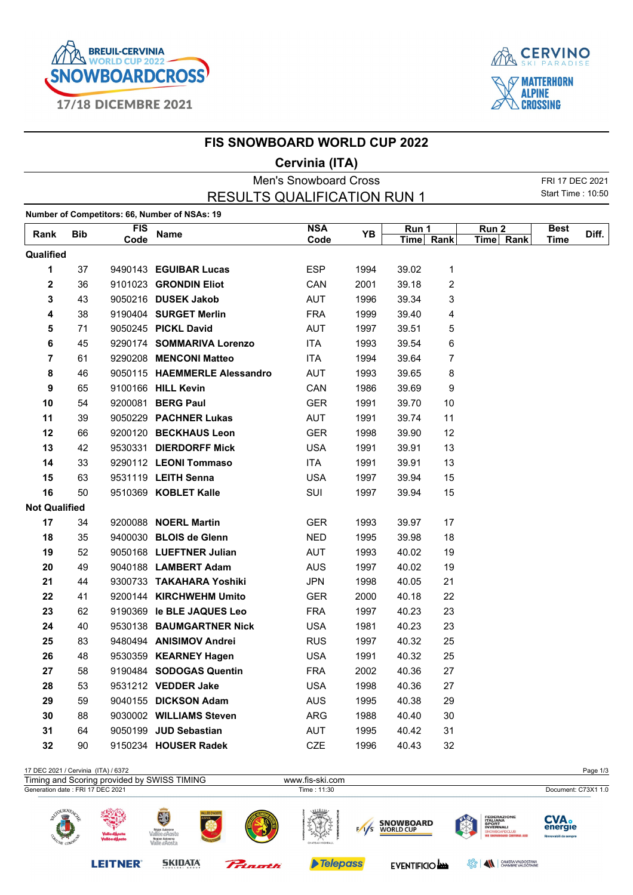



|                      |            |            | <b>FIS SNOWBOARD WORLD CUP 2022</b>           |                              |      |             |      |                  |                   |       |
|----------------------|------------|------------|-----------------------------------------------|------------------------------|------|-------------|------|------------------|-------------------|-------|
|                      |            |            |                                               | Cervinia (ITA)               |      |             |      |                  |                   |       |
|                      |            |            |                                               | <b>Men's Snowboard Cross</b> |      |             |      |                  | FRI 17 DEC 2021   |       |
|                      |            |            | <b>RESULTS QUALIFICATION RUN 1</b>            |                              |      |             |      |                  | Start Time: 10:50 |       |
|                      |            |            | Number of Competitors: 66, Number of NSAs: 19 |                              |      |             |      |                  |                   |       |
| Rank                 | <b>Bib</b> | <b>FIS</b> | Name                                          | <b>NSA</b>                   | ΥB   | Run 1       |      | Run <sub>2</sub> | <b>Best</b>       | Diff. |
|                      |            | Code       |                                               | Code                         |      | <b>Time</b> | Rank | Time Rank        | Time              |       |
| Qualified            |            |            |                                               |                              |      |             |      |                  |                   |       |
| 1                    | 37         |            | 9490143 EGUIBAR Lucas                         | <b>ESP</b>                   | 1994 | 39.02       | 1    |                  |                   |       |
| $\mathbf 2$          | 36         |            | 9101023 GRONDIN Eliot                         | CAN                          | 2001 | 39.18       | 2    |                  |                   |       |
| 3                    | 43         |            | 9050216 DUSEK Jakob                           | <b>AUT</b>                   | 1996 | 39.34       | 3    |                  |                   |       |
| 4                    | 38         |            | 9190404 SURGET Merlin                         | <b>FRA</b>                   | 1999 | 39.40       | 4    |                  |                   |       |
| 5                    | 71         |            | 9050245 PICKL David                           | <b>AUT</b>                   | 1997 | 39.51       | 5    |                  |                   |       |
| 6                    | 45         |            | 9290174 SOMMARIVA Lorenzo                     | <b>ITA</b>                   | 1993 | 39.54       | 6    |                  |                   |       |
| 7                    | 61         |            | 9290208 MENCONI Matteo                        | <b>ITA</b>                   | 1994 | 39.64       | 7    |                  |                   |       |
| 8                    | 46         |            | 9050115 HAEMMERLE Alessandro                  | <b>AUT</b>                   | 1993 | 39.65       | 8    |                  |                   |       |
| 9                    | 65         |            | 9100166 HILL Kevin                            | CAN                          | 1986 | 39.69       | 9    |                  |                   |       |
| 10                   | 54         |            | 9200081 BERG Paul                             | <b>GER</b>                   | 1991 | 39.70       | 10   |                  |                   |       |
| 11                   | 39         |            | 9050229 PACHNER Lukas                         | AUT                          | 1991 | 39.74       | 11   |                  |                   |       |
| 12                   | 66         |            | 9200120 BECKHAUS Leon                         | <b>GER</b>                   | 1998 | 39.90       | 12   |                  |                   |       |
| 13                   | 42         |            | 9530331 DIERDORFF Mick                        | <b>USA</b>                   | 1991 | 39.91       | 13   |                  |                   |       |
| 14                   | 33         |            | 9290112 LEONI Tommaso                         | ITA                          | 1991 | 39.91       | 13   |                  |                   |       |
| 15                   | 63         |            | 9531119 LEITH Senna                           | <b>USA</b>                   | 1997 | 39.94       | 15   |                  |                   |       |
| 16                   | 50         |            | 9510369 KOBLET Kalle                          | SUI                          | 1997 | 39.94       | 15   |                  |                   |       |
| <b>Not Qualified</b> |            |            |                                               |                              |      |             |      |                  |                   |       |
| 17                   | 34         |            | 9200088 NOERL Martin                          | <b>GER</b>                   | 1993 | 39.97       | 17   |                  |                   |       |
| 18                   | 35         |            | 9400030 BLOIS de Glenn                        | <b>NED</b>                   | 1995 | 39.98       | 18   |                  |                   |       |
| 19                   | 52         |            | 9050168 LUEFTNER Julian                       | <b>AUT</b>                   | 1993 | 40.02       | 19   |                  |                   |       |
| 20                   | 49         |            | 9040188 LAMBERT Adam                          | <b>AUS</b>                   | 1997 | 40.02       | 19   |                  |                   |       |
| 21                   | 44         |            | 9300733 TAKAHARA Yoshiki                      | <b>JPN</b>                   | 1998 | 40.05       | 21   |                  |                   |       |
| 22                   | 41         |            | 9200144 KIRCHWEHM Umito                       | GER                          | 2000 | 40.18       | 22   |                  |                   |       |
| 23                   | 62         |            | 9190369 le BLE JAQUES Leo                     | <b>FRA</b>                   | 1997 | 40.23       | 23   |                  |                   |       |
| 24                   | 40         |            | 9530138 BAUMGARTNER Nick                      | <b>USA</b>                   | 1981 | 40.23       | 23   |                  |                   |       |
| 25                   | 83         |            | 9480494 ANISIMOV Andrei                       | <b>RUS</b>                   | 1997 | 40.32       | 25   |                  |                   |       |
| 26                   | 48         |            | 9530359 KEARNEY Hagen                         | <b>USA</b>                   | 1991 | 40.32       | 25   |                  |                   |       |
| 27                   | 58         |            | 9190484 SODOGAS Quentin                       | <b>FRA</b>                   | 2002 | 40.36       | 27   |                  |                   |       |
| 28                   | 53         |            | 9531212 VEDDER Jake                           | <b>USA</b>                   | 1998 | 40.36       | 27   |                  |                   |       |
| 29                   | 59         |            | 9040155 DICKSON Adam                          | <b>AUS</b>                   | 1995 | 40.38       | 29   |                  |                   |       |
| 30                   | 88         |            | 9030002 WILLIAMS Steven                       | ARG                          | 1988 | 40.40       | 30   |                  |                   |       |
| 31                   | 64         |            | 9050199 JUD Sebastian                         | AUT                          | 1995 | 40.42       | 31   |                  |                   |       |
| 32                   | 90         |            | 9150234 HOUSER Radek                          | CZE                          | 1996 | 40.43       | 32   |                  |                   |       |

## 17 DEC 2021 / Cervinia (ITA) / 6372 Page 1/3 Timing and Scoring provided by SWISS TIMING www.fis-ski.com<br>Generation date : FRI 17 DEC 2021 Document: C73X1 1.0 Time : 11:30 Document: C73X1 1.0 Document: C73X1 1.0 **CVA**.<br>energie FEDERAZIO<br>ITALIANA<br>SPORT<br>INVERNALI **SNOWBOARD**<br>WORLD CUP  $\sqrt{s}$ **Telepass LEITNER® SKIDATA** EVENTIFICIO **BERRY CHAMBRE VALDOSTANA**

Prinorth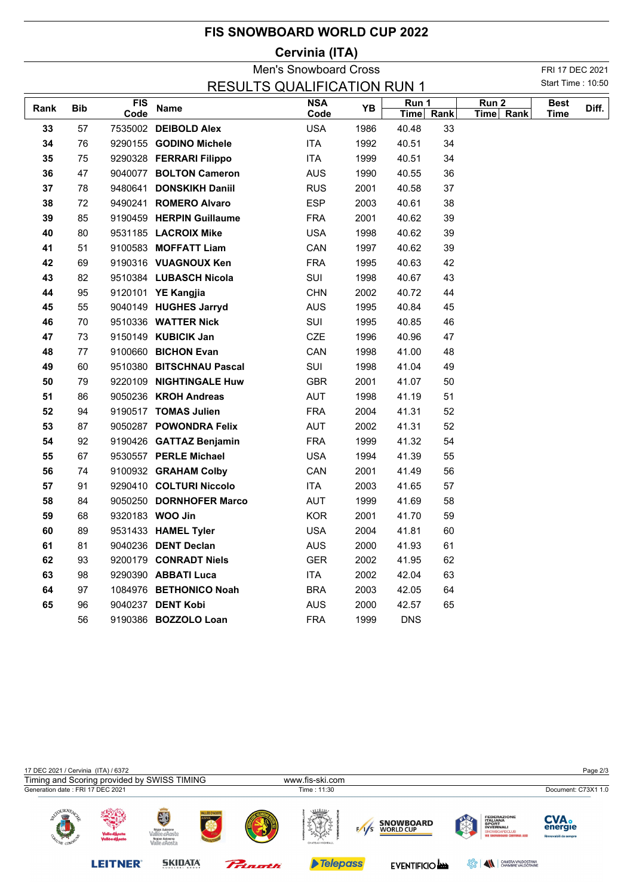| <b>FIS SNOWBOARD WORLD CUP 2022</b> |  |  |
|-------------------------------------|--|--|
|-------------------------------------|--|--|

## **Cervinia (ITA)**

|                                                         | <b>Men's Snowboard Cross</b> |      |                          |            |      |             |      |           |             | FRI 17 DEC 2021 |  |  |
|---------------------------------------------------------|------------------------------|------|--------------------------|------------|------|-------------|------|-----------|-------------|-----------------|--|--|
| Start Time: 10:50<br><b>RESULTS QUALIFICATION RUN 1</b> |                              |      |                          |            |      |             |      |           |             |                 |  |  |
|                                                         |                              | FIS  |                          | <b>NSA</b> | YB   | Run 1       |      | Run 2     | <b>Best</b> | Diff.           |  |  |
| Rank                                                    | <b>Bib</b>                   | Code | Name                     | Code       |      | <b>Time</b> | Rank | Time Rank | <b>Time</b> |                 |  |  |
| 33                                                      | 57                           |      | 7535002 DEIBOLD Alex     | <b>USA</b> | 1986 | 40.48       | 33   |           |             |                 |  |  |
| 34                                                      | 76                           |      | 9290155 GODINO Michele   | <b>ITA</b> | 1992 | 40.51       | 34   |           |             |                 |  |  |
| 35                                                      | 75                           |      | 9290328 FERRARI Filippo  | <b>ITA</b> | 1999 | 40.51       | 34   |           |             |                 |  |  |
| 36                                                      | 47                           |      | 9040077 BOLTON Cameron   | <b>AUS</b> | 1990 | 40.55       | 36   |           |             |                 |  |  |
| 37                                                      | 78                           |      | 9480641 DONSKIKH Daniil  | <b>RUS</b> | 2001 | 40.58       | 37   |           |             |                 |  |  |
| 38                                                      | 72                           |      | 9490241 ROMERO Alvaro    | <b>ESP</b> | 2003 | 40.61       | 38   |           |             |                 |  |  |
| 39                                                      | 85                           |      | 9190459 HERPIN Guillaume | <b>FRA</b> | 2001 | 40.62       | 39   |           |             |                 |  |  |
| 40                                                      | 80                           |      | 9531185 LACROIX Mike     | <b>USA</b> | 1998 | 40.62       | 39   |           |             |                 |  |  |
| 41                                                      | 51                           |      | 9100583 MOFFATT Liam     | CAN        | 1997 | 40.62       | 39   |           |             |                 |  |  |
| 42                                                      | 69                           |      | 9190316 VUAGNOUX Ken     | <b>FRA</b> | 1995 | 40.63       | 42   |           |             |                 |  |  |
| 43                                                      | 82                           |      | 9510384 LUBASCH Nicola   | SUI        | 1998 | 40.67       | 43   |           |             |                 |  |  |
| 44                                                      | 95                           |      | 9120101 YE Kangjia       | <b>CHN</b> | 2002 | 40.72       | 44   |           |             |                 |  |  |
| 45                                                      | 55                           |      | 9040149 HUGHES Jarryd    | <b>AUS</b> | 1995 | 40.84       | 45   |           |             |                 |  |  |
| 46                                                      | 70                           |      | 9510336 WATTER Nick      | SUI        | 1995 | 40.85       | 46   |           |             |                 |  |  |
| 47                                                      | 73                           |      | 9150149 KUBICIK Jan      | CZE        | 1996 | 40.96       | 47   |           |             |                 |  |  |
| 48                                                      | 77                           |      | 9100660 BICHON Evan      | CAN        | 1998 | 41.00       | 48   |           |             |                 |  |  |
| 49                                                      | 60                           |      | 9510380 BITSCHNAU Pascal | SUI        | 1998 | 41.04       | 49   |           |             |                 |  |  |
| 50                                                      | 79                           |      | 9220109 NIGHTINGALE Huw  | <b>GBR</b> | 2001 | 41.07       | 50   |           |             |                 |  |  |
| 51                                                      | 86                           |      | 9050236 KROH Andreas     | <b>AUT</b> | 1998 | 41.19       | 51   |           |             |                 |  |  |
| 52                                                      | 94                           |      | 9190517 TOMAS Julien     | <b>FRA</b> | 2004 | 41.31       | 52   |           |             |                 |  |  |
| 53                                                      | 87                           |      | 9050287 POWONDRA Felix   | AUT        | 2002 | 41.31       | 52   |           |             |                 |  |  |
| 54                                                      | 92                           |      | 9190426 GATTAZ Benjamin  | <b>FRA</b> | 1999 | 41.32       | 54   |           |             |                 |  |  |
| 55                                                      | 67                           |      | 9530557 PERLE Michael    | <b>USA</b> | 1994 | 41.39       | 55   |           |             |                 |  |  |
| 56                                                      | 74                           |      | 9100932 GRAHAM Colby     | CAN        | 2001 | 41.49       | 56   |           |             |                 |  |  |
| 57                                                      | 91                           |      | 9290410 COLTURI Niccolo  | ITA        | 2003 | 41.65       | 57   |           |             |                 |  |  |
| 58                                                      | 84                           |      | 9050250 DORNHOFER Marco  | <b>AUT</b> | 1999 | 41.69       | 58   |           |             |                 |  |  |
| 59                                                      | 68                           |      | 9320183 WOO Jin          | <b>KOR</b> | 2001 | 41.70       | 59   |           |             |                 |  |  |
| 60                                                      | 89                           |      | 9531433 HAMEL Tyler      | <b>USA</b> | 2004 | 41.81       | 60   |           |             |                 |  |  |
| 61                                                      | 81                           |      | 9040236 DENT Declan      | AUS        | 2000 | 41.93       | 61   |           |             |                 |  |  |
| 62                                                      | 93                           |      | 9200179 CONRADT Niels    | <b>GER</b> | 2002 | 41.95       | 62   |           |             |                 |  |  |
| 63                                                      | 98                           |      | 9290390 ABBATI Luca      | <b>ITA</b> | 2002 | 42.04       | 63   |           |             |                 |  |  |
| 64                                                      | 97                           |      | 1084976 BETHONICO Noah   | <b>BRA</b> | 2003 | 42.05       | 64   |           |             |                 |  |  |
| 65                                                      | 96                           |      | 9040237 DENT Kobi        | <b>AUS</b> | 2000 | 42.57       | 65   |           |             |                 |  |  |
|                                                         | 56                           |      | 9190386 BOZZOLO Loan     | <b>FRA</b> | 1999 | <b>DNS</b>  |      |           |             |                 |  |  |